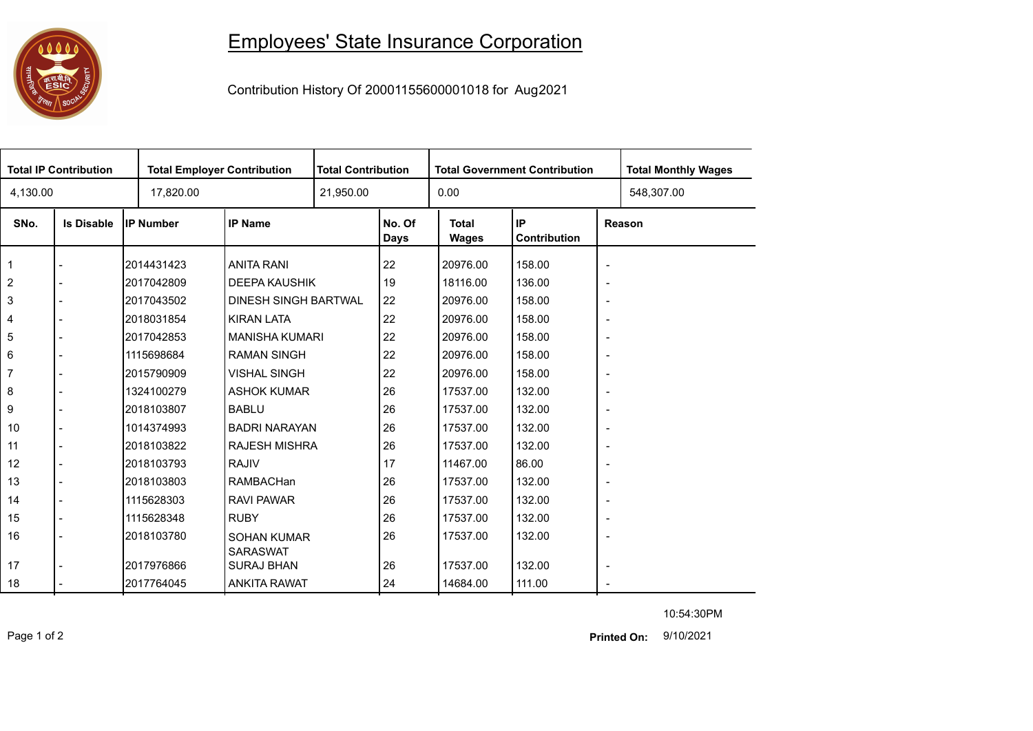## 0000

## Employees' State Insurance Corporation

Contribution History Of 20001155600001018 for Aug2021

| <b>Total IP Contribution</b> |                   |                  | <b>Total Employer Contribution</b>    |           | <b>Total Contribution</b> |                       | <b>Total Government Contribution</b> | <b>Total Monthly Wages</b> |            |  |
|------------------------------|-------------------|------------------|---------------------------------------|-----------|---------------------------|-----------------------|--------------------------------------|----------------------------|------------|--|
| 4,130.00                     |                   | 17,820.00        |                                       | 21,950.00 |                           | 0.00                  |                                      |                            | 548,307.00 |  |
| SNo.                         | <b>Is Disable</b> | <b>IP Number</b> | <b>IP Name</b>                        |           | No. Of<br>Days            | <b>Total</b><br>Wages | IP<br>Contribution                   | Reason                     |            |  |
| 1                            |                   | 2014431423       | <b>ANITA RANI</b>                     |           | 22                        | 20976.00              | 158.00                               | $\overline{\phantom{a}}$   |            |  |
| $\overline{2}$               |                   | 2017042809       | <b>DEEPA KAUSHIK</b>                  |           | 19                        | 18116.00              | 136.00                               | $\overline{\phantom{a}}$   |            |  |
| 3                            |                   | 2017043502       | DINESH SINGH BARTWAL                  |           | 22                        | 20976.00              | 158.00                               | $\overline{\phantom{a}}$   |            |  |
| 4                            |                   | 2018031854       | <b>KIRAN LATA</b>                     |           | 22                        | 20976.00              | 158.00                               | $\overline{\phantom{a}}$   |            |  |
| 5                            |                   | 2017042853       | <b>MANISHA KUMARI</b>                 |           | 22                        | 20976.00              | 158.00                               | $\overline{\phantom{a}}$   |            |  |
| 6                            |                   | 1115698684       | <b>RAMAN SINGH</b>                    |           | 22                        | 20976.00              | 158.00                               | $\overline{\phantom{a}}$   |            |  |
| $\overline{7}$               |                   | 2015790909       | <b>VISHAL SINGH</b>                   |           | 22                        | 20976.00              | 158.00                               | $\overline{\phantom{a}}$   |            |  |
| 8                            |                   | 1324100279       | <b>ASHOK KUMAR</b>                    |           | 26                        | 17537.00              | 132.00                               | $\overline{\phantom{a}}$   |            |  |
| 9                            |                   | 2018103807       | <b>BABLU</b>                          |           | 26                        | 17537.00              | 132.00                               | $\overline{\phantom{a}}$   |            |  |
| 10                           |                   | 1014374993       | <b>BADRI NARAYAN</b>                  |           | 26                        | 17537.00              | 132.00                               | $\overline{\phantom{0}}$   |            |  |
| 11                           |                   | 2018103822       | <b>RAJESH MISHRA</b>                  |           | 26                        | 17537.00              | 132.00                               | $\overline{\phantom{a}}$   |            |  |
| 12                           |                   | 2018103793       | <b>RAJIV</b>                          |           | 17                        | 11467.00              | 86.00                                | $\overline{\phantom{0}}$   |            |  |
| 13                           |                   | 2018103803       | RAMBACHan                             |           | 26                        | 17537.00              | 132.00                               | $\overline{\phantom{a}}$   |            |  |
| 14                           |                   | 1115628303       | <b>RAVI PAWAR</b>                     |           | 26                        | 17537.00              | 132.00                               | $\overline{\phantom{a}}$   |            |  |
| 15                           |                   | 1115628348       | <b>RUBY</b>                           |           | 26                        | 17537.00              | 132.00                               | $\overline{\phantom{a}}$   |            |  |
| 16                           |                   | 2018103780       | <b>SOHAN KUMAR</b><br><b>SARASWAT</b> |           | 26                        | 17537.00              | 132.00                               | $\overline{\phantom{a}}$   |            |  |
| 17                           |                   | 2017976866       | <b>SURAJ BHAN</b>                     |           | 26                        | 17537.00              | 132.00                               | $\overline{\phantom{a}}$   |            |  |
| 18                           |                   | 2017764045       | <b>ANKITA RAWAT</b>                   |           | 24                        | 14684.00              | 111.00                               | $\sim$                     |            |  |

10:54:30PM